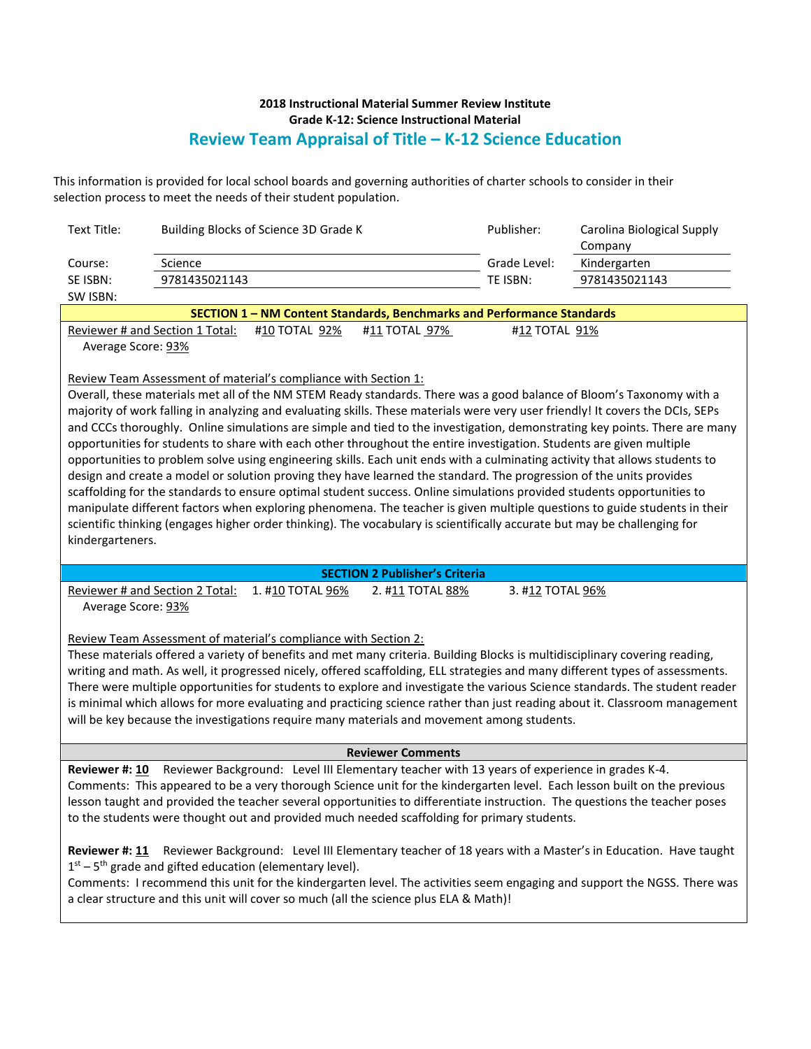| Text Title:                                                                                                                                                                                                                                                                                                                                                                                                                                                                                                                                                                                                                                                                                                                                                                                                                                                                                                                                                                                                                                                                                                                                                                                                                                   |               | Building Blocks of Science 3D Grade K                                  |                                       | Publisher:       | Carolina Biological Supply |
|-----------------------------------------------------------------------------------------------------------------------------------------------------------------------------------------------------------------------------------------------------------------------------------------------------------------------------------------------------------------------------------------------------------------------------------------------------------------------------------------------------------------------------------------------------------------------------------------------------------------------------------------------------------------------------------------------------------------------------------------------------------------------------------------------------------------------------------------------------------------------------------------------------------------------------------------------------------------------------------------------------------------------------------------------------------------------------------------------------------------------------------------------------------------------------------------------------------------------------------------------|---------------|------------------------------------------------------------------------|---------------------------------------|------------------|----------------------------|
|                                                                                                                                                                                                                                                                                                                                                                                                                                                                                                                                                                                                                                                                                                                                                                                                                                                                                                                                                                                                                                                                                                                                                                                                                                               |               |                                                                        |                                       | Company          |                            |
| Course:                                                                                                                                                                                                                                                                                                                                                                                                                                                                                                                                                                                                                                                                                                                                                                                                                                                                                                                                                                                                                                                                                                                                                                                                                                       | Science       |                                                                        |                                       | Grade Level:     | Kindergarten               |
| SE ISBN:                                                                                                                                                                                                                                                                                                                                                                                                                                                                                                                                                                                                                                                                                                                                                                                                                                                                                                                                                                                                                                                                                                                                                                                                                                      | 9781435021143 |                                                                        |                                       | TE ISBN:         | 9781435021143              |
| SW ISBN:                                                                                                                                                                                                                                                                                                                                                                                                                                                                                                                                                                                                                                                                                                                                                                                                                                                                                                                                                                                                                                                                                                                                                                                                                                      |               |                                                                        |                                       |                  |                            |
|                                                                                                                                                                                                                                                                                                                                                                                                                                                                                                                                                                                                                                                                                                                                                                                                                                                                                                                                                                                                                                                                                                                                                                                                                                               |               | SECTION 1 - NM Content Standards, Benchmarks and Performance Standards |                                       |                  |                            |
| Reviewer # and Section 1 Total:                                                                                                                                                                                                                                                                                                                                                                                                                                                                                                                                                                                                                                                                                                                                                                                                                                                                                                                                                                                                                                                                                                                                                                                                               |               | #10 TOTAL 92%                                                          | #11 TOTAL 97%                         | #12 TOTAL 91%    |                            |
| Average Score: 93%                                                                                                                                                                                                                                                                                                                                                                                                                                                                                                                                                                                                                                                                                                                                                                                                                                                                                                                                                                                                                                                                                                                                                                                                                            |               |                                                                        |                                       |                  |                            |
| Review Team Assessment of material's compliance with Section 1:<br>Overall, these materials met all of the NM STEM Ready standards. There was a good balance of Bloom's Taxonomy with a<br>majority of work falling in analyzing and evaluating skills. These materials were very user friendly! It covers the DCIs, SEPs<br>and CCCs thoroughly. Online simulations are simple and tied to the investigation, demonstrating key points. There are many<br>opportunities for students to share with each other throughout the entire investigation. Students are given multiple<br>opportunities to problem solve using engineering skills. Each unit ends with a culminating activity that allows students to<br>design and create a model or solution proving they have learned the standard. The progression of the units provides<br>scaffolding for the standards to ensure optimal student success. Online simulations provided students opportunities to<br>manipulate different factors when exploring phenomena. The teacher is given multiple questions to guide students in their<br>scientific thinking (engages higher order thinking). The vocabulary is scientifically accurate but may be challenging for<br>kindergarteners. |               |                                                                        |                                       |                  |                            |
|                                                                                                                                                                                                                                                                                                                                                                                                                                                                                                                                                                                                                                                                                                                                                                                                                                                                                                                                                                                                                                                                                                                                                                                                                                               |               |                                                                        |                                       |                  |                            |
|                                                                                                                                                                                                                                                                                                                                                                                                                                                                                                                                                                                                                                                                                                                                                                                                                                                                                                                                                                                                                                                                                                                                                                                                                                               |               |                                                                        | <b>SECTION 2 Publisher's Criteria</b> |                  |                            |
| Reviewer # and Section 2 Total:<br>Average Score: 93%                                                                                                                                                                                                                                                                                                                                                                                                                                                                                                                                                                                                                                                                                                                                                                                                                                                                                                                                                                                                                                                                                                                                                                                         |               | 1. #10 TOTAL 96%                                                       | 2. #11 TOTAL 88%                      | 3. #12 TOTAL 96% |                            |
| Review Team Assessment of material's compliance with Section 2:<br>These materials offered a variety of benefits and met many criteria. Building Blocks is multidisciplinary covering reading,<br>writing and math. As well, it progressed nicely, offered scaffolding, ELL strategies and many different types of assessments.<br>There were multiple opportunities for students to explore and investigate the various Science standards. The student reader<br>is minimal which allows for more evaluating and practicing science rather than just reading about it. Classroom management<br>will be key because the investigations require many materials and movement among students.                                                                                                                                                                                                                                                                                                                                                                                                                                                                                                                                                    |               |                                                                        |                                       |                  |                            |
|                                                                                                                                                                                                                                                                                                                                                                                                                                                                                                                                                                                                                                                                                                                                                                                                                                                                                                                                                                                                                                                                                                                                                                                                                                               |               |                                                                        | <b>Reviewer Comments</b>              |                  |                            |
| Reviewer Background: Level III Elementary teacher with 13 years of experience in grades K-4.<br>Reviewer #: 10<br>Comments: This appeared to be a very thorough Science unit for the kindergarten level. Each lesson built on the previous<br>lesson taught and provided the teacher several opportunities to differentiate instruction. The questions the teacher poses<br>to the students were thought out and provided much needed scaffolding for primary students.<br>Reviewer #: 11 Reviewer Background: Level III Elementary teacher of 18 years with a Master's in Education. Have taught<br>$1st - 5th$ grade and gifted education (elementary level).                                                                                                                                                                                                                                                                                                                                                                                                                                                                                                                                                                               |               |                                                                        |                                       |                  |                            |
| Comments: I recommend this unit for the kindergarten level. The activities seem engaging and support the NGSS. There was<br>a clear structure and this unit will cover so much (all the science plus ELA & Math)!                                                                                                                                                                                                                                                                                                                                                                                                                                                                                                                                                                                                                                                                                                                                                                                                                                                                                                                                                                                                                             |               |                                                                        |                                       |                  |                            |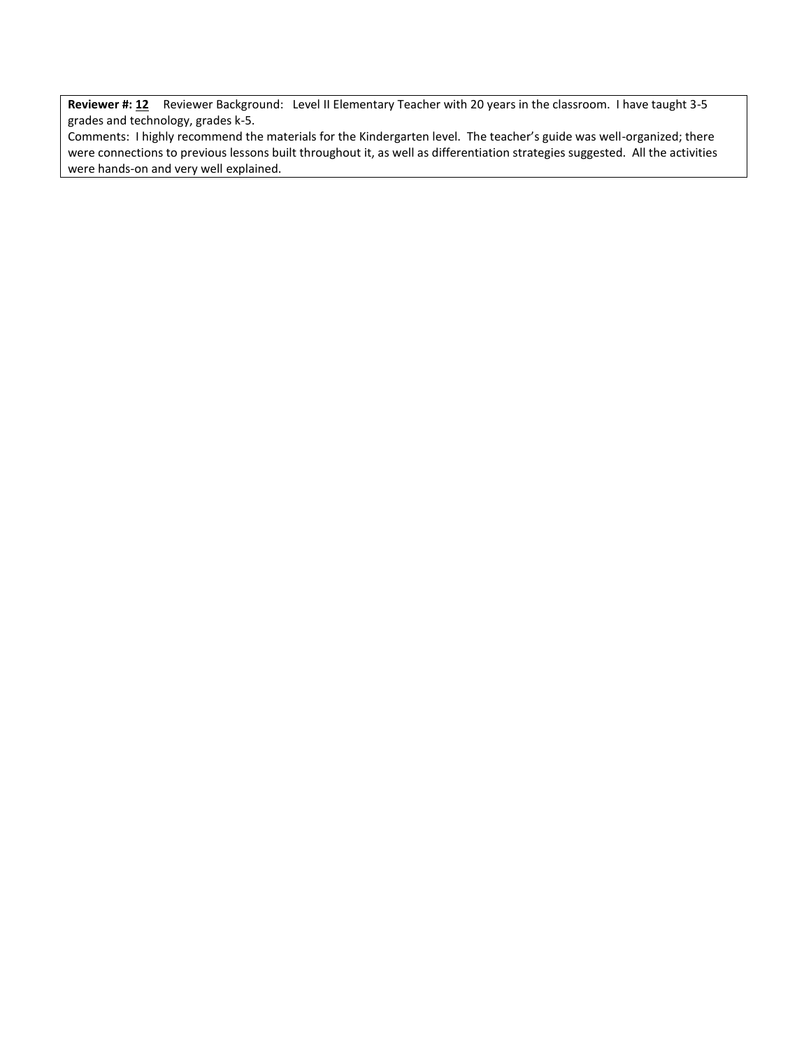**Reviewer #: 12** Reviewer Background: Level II Elementary Teacher with 20 years in the classroom. I have taught 3-5 grades and technology, grades k-5.

Comments: I highly recommend the materials for the Kindergarten level. The teacher's guide was well-organized; there were connections to previous lessons built throughout it, as well as differentiation strategies suggested. All the activities were hands-on and very well explained.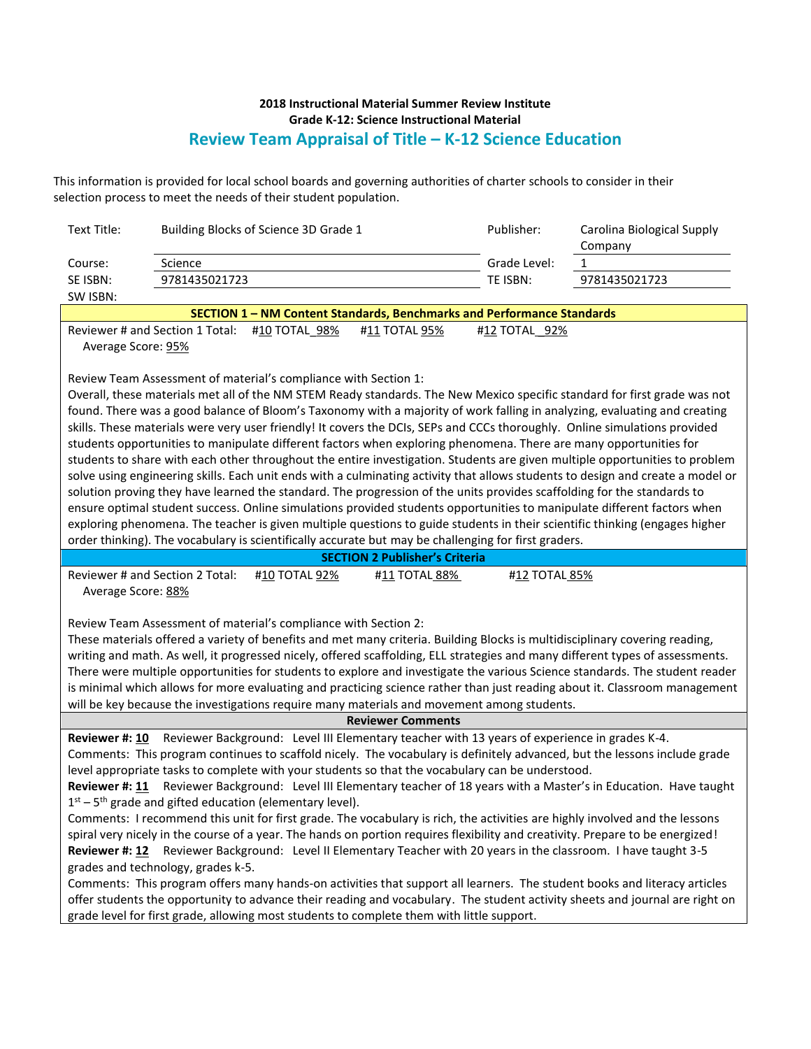| Text Title:                                                                                                                                                                                                                                                                                                                                                                                                                                                                                                                                                                                                                                                                                                                                                                                                                                                                                                                                                                                                                                                                                                                                                                                                                                                                                                                                 | Building Blocks of Science 3D Grade 1                                                                                                                                                                                                                                                                                                                                                                  | Publisher:    | Carolina Biological Supply |
|---------------------------------------------------------------------------------------------------------------------------------------------------------------------------------------------------------------------------------------------------------------------------------------------------------------------------------------------------------------------------------------------------------------------------------------------------------------------------------------------------------------------------------------------------------------------------------------------------------------------------------------------------------------------------------------------------------------------------------------------------------------------------------------------------------------------------------------------------------------------------------------------------------------------------------------------------------------------------------------------------------------------------------------------------------------------------------------------------------------------------------------------------------------------------------------------------------------------------------------------------------------------------------------------------------------------------------------------|--------------------------------------------------------------------------------------------------------------------------------------------------------------------------------------------------------------------------------------------------------------------------------------------------------------------------------------------------------------------------------------------------------|---------------|----------------------------|
|                                                                                                                                                                                                                                                                                                                                                                                                                                                                                                                                                                                                                                                                                                                                                                                                                                                                                                                                                                                                                                                                                                                                                                                                                                                                                                                                             |                                                                                                                                                                                                                                                                                                                                                                                                        |               | Company                    |
| Course:                                                                                                                                                                                                                                                                                                                                                                                                                                                                                                                                                                                                                                                                                                                                                                                                                                                                                                                                                                                                                                                                                                                                                                                                                                                                                                                                     | Science                                                                                                                                                                                                                                                                                                                                                                                                | Grade Level:  | $\mathbf{1}$               |
| SE ISBN:                                                                                                                                                                                                                                                                                                                                                                                                                                                                                                                                                                                                                                                                                                                                                                                                                                                                                                                                                                                                                                                                                                                                                                                                                                                                                                                                    | 9781435021723                                                                                                                                                                                                                                                                                                                                                                                          | TE ISBN:      | 9781435021723              |
| SW ISBN:                                                                                                                                                                                                                                                                                                                                                                                                                                                                                                                                                                                                                                                                                                                                                                                                                                                                                                                                                                                                                                                                                                                                                                                                                                                                                                                                    |                                                                                                                                                                                                                                                                                                                                                                                                        |               |                            |
|                                                                                                                                                                                                                                                                                                                                                                                                                                                                                                                                                                                                                                                                                                                                                                                                                                                                                                                                                                                                                                                                                                                                                                                                                                                                                                                                             | SECTION 1 - NM Content Standards, Benchmarks and Performance Standards                                                                                                                                                                                                                                                                                                                                 |               |                            |
| Average Score: 95%                                                                                                                                                                                                                                                                                                                                                                                                                                                                                                                                                                                                                                                                                                                                                                                                                                                                                                                                                                                                                                                                                                                                                                                                                                                                                                                          | Reviewer # and Section 1 Total:<br>#10 TOTAL 98%<br>#11 TOTAL 95%                                                                                                                                                                                                                                                                                                                                      | #12 TOTAL 92% |                            |
| Review Team Assessment of material's compliance with Section 1:<br>Overall, these materials met all of the NM STEM Ready standards. The New Mexico specific standard for first grade was not<br>found. There was a good balance of Bloom's Taxonomy with a majority of work falling in analyzing, evaluating and creating<br>skills. These materials were very user friendly! It covers the DCIs, SEPs and CCCs thoroughly. Online simulations provided<br>students opportunities to manipulate different factors when exploring phenomena. There are many opportunities for<br>students to share with each other throughout the entire investigation. Students are given multiple opportunities to problem<br>solve using engineering skills. Each unit ends with a culminating activity that allows students to design and create a model or<br>solution proving they have learned the standard. The progression of the units provides scaffolding for the standards to<br>ensure optimal student success. Online simulations provided students opportunities to manipulate different factors when<br>exploring phenomena. The teacher is given multiple questions to guide students in their scientific thinking (engages higher<br>order thinking). The vocabulary is scientifically accurate but may be challenging for first graders. |                                                                                                                                                                                                                                                                                                                                                                                                        |               |                            |
|                                                                                                                                                                                                                                                                                                                                                                                                                                                                                                                                                                                                                                                                                                                                                                                                                                                                                                                                                                                                                                                                                                                                                                                                                                                                                                                                             | <b>SECTION 2 Publisher's Criteria</b>                                                                                                                                                                                                                                                                                                                                                                  |               |                            |
| Average Score: 88%                                                                                                                                                                                                                                                                                                                                                                                                                                                                                                                                                                                                                                                                                                                                                                                                                                                                                                                                                                                                                                                                                                                                                                                                                                                                                                                          | Reviewer # and Section 2 Total:<br>#10 TOTAL 92%<br>#11 TOTAL 88%                                                                                                                                                                                                                                                                                                                                      | #12 TOTAL 85% |                            |
|                                                                                                                                                                                                                                                                                                                                                                                                                                                                                                                                                                                                                                                                                                                                                                                                                                                                                                                                                                                                                                                                                                                                                                                                                                                                                                                                             | Review Team Assessment of material's compliance with Section 2:<br>These materials offered a variety of benefits and met many criteria. Building Blocks is multidisciplinary covering reading,                                                                                                                                                                                                         |               |                            |
|                                                                                                                                                                                                                                                                                                                                                                                                                                                                                                                                                                                                                                                                                                                                                                                                                                                                                                                                                                                                                                                                                                                                                                                                                                                                                                                                             |                                                                                                                                                                                                                                                                                                                                                                                                        |               |                            |
| writing and math. As well, it progressed nicely, offered scaffolding, ELL strategies and many different types of assessments.<br>There were multiple opportunities for students to explore and investigate the various Science standards. The student reader                                                                                                                                                                                                                                                                                                                                                                                                                                                                                                                                                                                                                                                                                                                                                                                                                                                                                                                                                                                                                                                                                |                                                                                                                                                                                                                                                                                                                                                                                                        |               |                            |
| is minimal which allows for more evaluating and practicing science rather than just reading about it. Classroom management                                                                                                                                                                                                                                                                                                                                                                                                                                                                                                                                                                                                                                                                                                                                                                                                                                                                                                                                                                                                                                                                                                                                                                                                                  |                                                                                                                                                                                                                                                                                                                                                                                                        |               |                            |
| will be key because the investigations require many materials and movement among students.                                                                                                                                                                                                                                                                                                                                                                                                                                                                                                                                                                                                                                                                                                                                                                                                                                                                                                                                                                                                                                                                                                                                                                                                                                                  |                                                                                                                                                                                                                                                                                                                                                                                                        |               |                            |
|                                                                                                                                                                                                                                                                                                                                                                                                                                                                                                                                                                                                                                                                                                                                                                                                                                                                                                                                                                                                                                                                                                                                                                                                                                                                                                                                             | <b>Reviewer Comments</b>                                                                                                                                                                                                                                                                                                                                                                               |               |                            |
| Reviewer #: 10                                                                                                                                                                                                                                                                                                                                                                                                                                                                                                                                                                                                                                                                                                                                                                                                                                                                                                                                                                                                                                                                                                                                                                                                                                                                                                                              | Reviewer Background: Level III Elementary teacher with 13 years of experience in grades K-4.                                                                                                                                                                                                                                                                                                           |               |                            |
| Reviewer #: 11                                                                                                                                                                                                                                                                                                                                                                                                                                                                                                                                                                                                                                                                                                                                                                                                                                                                                                                                                                                                                                                                                                                                                                                                                                                                                                                              | Comments: This program continues to scaffold nicely. The vocabulary is definitely advanced, but the lessons include grade<br>level appropriate tasks to complete with your students so that the vocabulary can be understood.<br>Reviewer Background: Level III Elementary teacher of 18 years with a Master's in Education. Have taught<br>$1st - 5th$ grade and gifted education (elementary level). |               |                            |
| Comments: I recommend this unit for first grade. The vocabulary is rich, the activities are highly involved and the lessons<br>spiral very nicely in the course of a year. The hands on portion requires flexibility and creativity. Prepare to be energized!<br>Reviewer Background: Level II Elementary Teacher with 20 years in the classroom. I have taught 3-5<br>Reviewer #: 12                                                                                                                                                                                                                                                                                                                                                                                                                                                                                                                                                                                                                                                                                                                                                                                                                                                                                                                                                       |                                                                                                                                                                                                                                                                                                                                                                                                        |               |                            |
|                                                                                                                                                                                                                                                                                                                                                                                                                                                                                                                                                                                                                                                                                                                                                                                                                                                                                                                                                                                                                                                                                                                                                                                                                                                                                                                                             | grades and technology, grades k-5.                                                                                                                                                                                                                                                                                                                                                                     |               |                            |
|                                                                                                                                                                                                                                                                                                                                                                                                                                                                                                                                                                                                                                                                                                                                                                                                                                                                                                                                                                                                                                                                                                                                                                                                                                                                                                                                             | Comments: This program offers many hands-on activities that support all learners. The student books and literacy articles<br>offer students the opportunity to advance their reading and vocabulary. The student activity sheets and journal are right on<br>grade level for first grade, allowing most students to complete them with little support.                                                 |               |                            |
|                                                                                                                                                                                                                                                                                                                                                                                                                                                                                                                                                                                                                                                                                                                                                                                                                                                                                                                                                                                                                                                                                                                                                                                                                                                                                                                                             |                                                                                                                                                                                                                                                                                                                                                                                                        |               |                            |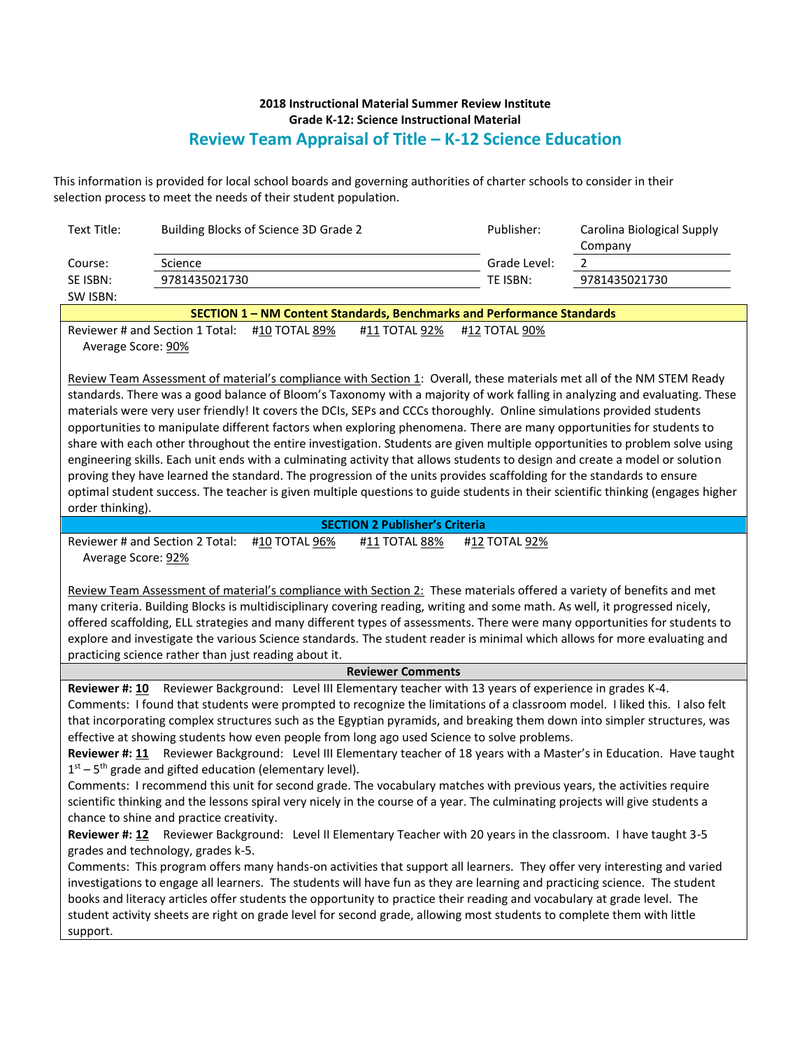| Text Title:                                                                                                                                                                                                                                                                                                                                                                                                                                                                                                                                                                                                                                                                                                                                                                                                                                                                                                                | Building Blocks of Science 3D Grade 2                                                                                                                                                                                                                                                                                                                                                                                                                                                                                                                                                                                                                                                                                                                                                                                                                                                                                                                                                                                                                                                                                                                                                                                                                                                                                                                                                                                                                                                                                                                                                                                        | Publisher:    | Carolina Biological Supply<br>Company |
|----------------------------------------------------------------------------------------------------------------------------------------------------------------------------------------------------------------------------------------------------------------------------------------------------------------------------------------------------------------------------------------------------------------------------------------------------------------------------------------------------------------------------------------------------------------------------------------------------------------------------------------------------------------------------------------------------------------------------------------------------------------------------------------------------------------------------------------------------------------------------------------------------------------------------|------------------------------------------------------------------------------------------------------------------------------------------------------------------------------------------------------------------------------------------------------------------------------------------------------------------------------------------------------------------------------------------------------------------------------------------------------------------------------------------------------------------------------------------------------------------------------------------------------------------------------------------------------------------------------------------------------------------------------------------------------------------------------------------------------------------------------------------------------------------------------------------------------------------------------------------------------------------------------------------------------------------------------------------------------------------------------------------------------------------------------------------------------------------------------------------------------------------------------------------------------------------------------------------------------------------------------------------------------------------------------------------------------------------------------------------------------------------------------------------------------------------------------------------------------------------------------------------------------------------------------|---------------|---------------------------------------|
| Course:                                                                                                                                                                                                                                                                                                                                                                                                                                                                                                                                                                                                                                                                                                                                                                                                                                                                                                                    | Science                                                                                                                                                                                                                                                                                                                                                                                                                                                                                                                                                                                                                                                                                                                                                                                                                                                                                                                                                                                                                                                                                                                                                                                                                                                                                                                                                                                                                                                                                                                                                                                                                      | Grade Level:  | $\overline{2}$                        |
| SE ISBN:                                                                                                                                                                                                                                                                                                                                                                                                                                                                                                                                                                                                                                                                                                                                                                                                                                                                                                                   | 9781435021730                                                                                                                                                                                                                                                                                                                                                                                                                                                                                                                                                                                                                                                                                                                                                                                                                                                                                                                                                                                                                                                                                                                                                                                                                                                                                                                                                                                                                                                                                                                                                                                                                | TE ISBN:      | 9781435021730                         |
| SW ISBN:                                                                                                                                                                                                                                                                                                                                                                                                                                                                                                                                                                                                                                                                                                                                                                                                                                                                                                                   |                                                                                                                                                                                                                                                                                                                                                                                                                                                                                                                                                                                                                                                                                                                                                                                                                                                                                                                                                                                                                                                                                                                                                                                                                                                                                                                                                                                                                                                                                                                                                                                                                              |               |                                       |
|                                                                                                                                                                                                                                                                                                                                                                                                                                                                                                                                                                                                                                                                                                                                                                                                                                                                                                                            | SECTION 1 - NM Content Standards, Benchmarks and Performance Standards                                                                                                                                                                                                                                                                                                                                                                                                                                                                                                                                                                                                                                                                                                                                                                                                                                                                                                                                                                                                                                                                                                                                                                                                                                                                                                                                                                                                                                                                                                                                                       |               |                                       |
| Reviewer # and Section 1 Total:<br>Average Score: 90%                                                                                                                                                                                                                                                                                                                                                                                                                                                                                                                                                                                                                                                                                                                                                                                                                                                                      | #10 TOTAL 89%<br>#11 TOTAL 92%                                                                                                                                                                                                                                                                                                                                                                                                                                                                                                                                                                                                                                                                                                                                                                                                                                                                                                                                                                                                                                                                                                                                                                                                                                                                                                                                                                                                                                                                                                                                                                                               | #12 TOTAL 90% |                                       |
|                                                                                                                                                                                                                                                                                                                                                                                                                                                                                                                                                                                                                                                                                                                                                                                                                                                                                                                            | Review Team Assessment of material's compliance with Section 1: Overall, these materials met all of the NM STEM Ready                                                                                                                                                                                                                                                                                                                                                                                                                                                                                                                                                                                                                                                                                                                                                                                                                                                                                                                                                                                                                                                                                                                                                                                                                                                                                                                                                                                                                                                                                                        |               |                                       |
| standards. There was a good balance of Bloom's Taxonomy with a majority of work falling in analyzing and evaluating. These<br>materials were very user friendly! It covers the DCIs, SEPs and CCCs thoroughly. Online simulations provided students<br>opportunities to manipulate different factors when exploring phenomena. There are many opportunities for students to<br>share with each other throughout the entire investigation. Students are given multiple opportunities to problem solve using<br>engineering skills. Each unit ends with a culminating activity that allows students to design and create a model or solution<br>proving they have learned the standard. The progression of the units provides scaffolding for the standards to ensure<br>optimal student success. The teacher is given multiple questions to guide students in their scientific thinking (engages higher<br>order thinking). |                                                                                                                                                                                                                                                                                                                                                                                                                                                                                                                                                                                                                                                                                                                                                                                                                                                                                                                                                                                                                                                                                                                                                                                                                                                                                                                                                                                                                                                                                                                                                                                                                              |               |                                       |
|                                                                                                                                                                                                                                                                                                                                                                                                                                                                                                                                                                                                                                                                                                                                                                                                                                                                                                                            | <b>SECTION 2 Publisher's Criteria</b><br>#10 TOTAL 96%<br>#11 TOTAL 88%                                                                                                                                                                                                                                                                                                                                                                                                                                                                                                                                                                                                                                                                                                                                                                                                                                                                                                                                                                                                                                                                                                                                                                                                                                                                                                                                                                                                                                                                                                                                                      | #12 TOTAL 92% |                                       |
| Reviewer # and Section 2 Total:<br>Average Score: 92%<br>Review Team Assessment of material's compliance with Section 2: These materials offered a variety of benefits and met<br>many criteria. Building Blocks is multidisciplinary covering reading, writing and some math. As well, it progressed nicely,<br>offered scaffolding, ELL strategies and many different types of assessments. There were many opportunities for students to<br>explore and investigate the various Science standards. The student reader is minimal which allows for more evaluating and<br>practicing science rather than just reading about it.                                                                                                                                                                                                                                                                                          |                                                                                                                                                                                                                                                                                                                                                                                                                                                                                                                                                                                                                                                                                                                                                                                                                                                                                                                                                                                                                                                                                                                                                                                                                                                                                                                                                                                                                                                                                                                                                                                                                              |               |                                       |
|                                                                                                                                                                                                                                                                                                                                                                                                                                                                                                                                                                                                                                                                                                                                                                                                                                                                                                                            | <b>Reviewer Comments</b>                                                                                                                                                                                                                                                                                                                                                                                                                                                                                                                                                                                                                                                                                                                                                                                                                                                                                                                                                                                                                                                                                                                                                                                                                                                                                                                                                                                                                                                                                                                                                                                                     |               |                                       |
| Reviewer #: 10<br>support.                                                                                                                                                                                                                                                                                                                                                                                                                                                                                                                                                                                                                                                                                                                                                                                                                                                                                                 | Reviewer Background: Level III Elementary teacher with 13 years of experience in grades K-4.<br>Comments: I found that students were prompted to recognize the limitations of a classroom model. I liked this. I also felt<br>that incorporating complex structures such as the Egyptian pyramids, and breaking them down into simpler structures, was<br>effective at showing students how even people from long ago used Science to solve problems.<br>Reviewer #: 11 Reviewer Background: Level III Elementary teacher of 18 years with a Master's in Education. Have taught<br>$1st - 5th$ grade and gifted education (elementary level).<br>Comments: I recommend this unit for second grade. The vocabulary matches with previous years, the activities require<br>scientific thinking and the lessons spiral very nicely in the course of a year. The culminating projects will give students a<br>chance to shine and practice creativity.<br>Reviewer #: 12 Reviewer Background: Level II Elementary Teacher with 20 years in the classroom. I have taught 3-5<br>grades and technology, grades k-5.<br>Comments: This program offers many hands-on activities that support all learners. They offer very interesting and varied<br>investigations to engage all learners. The students will have fun as they are learning and practicing science. The student<br>books and literacy articles offer students the opportunity to practice their reading and vocabulary at grade level. The<br>student activity sheets are right on grade level for second grade, allowing most students to complete them with little |               |                                       |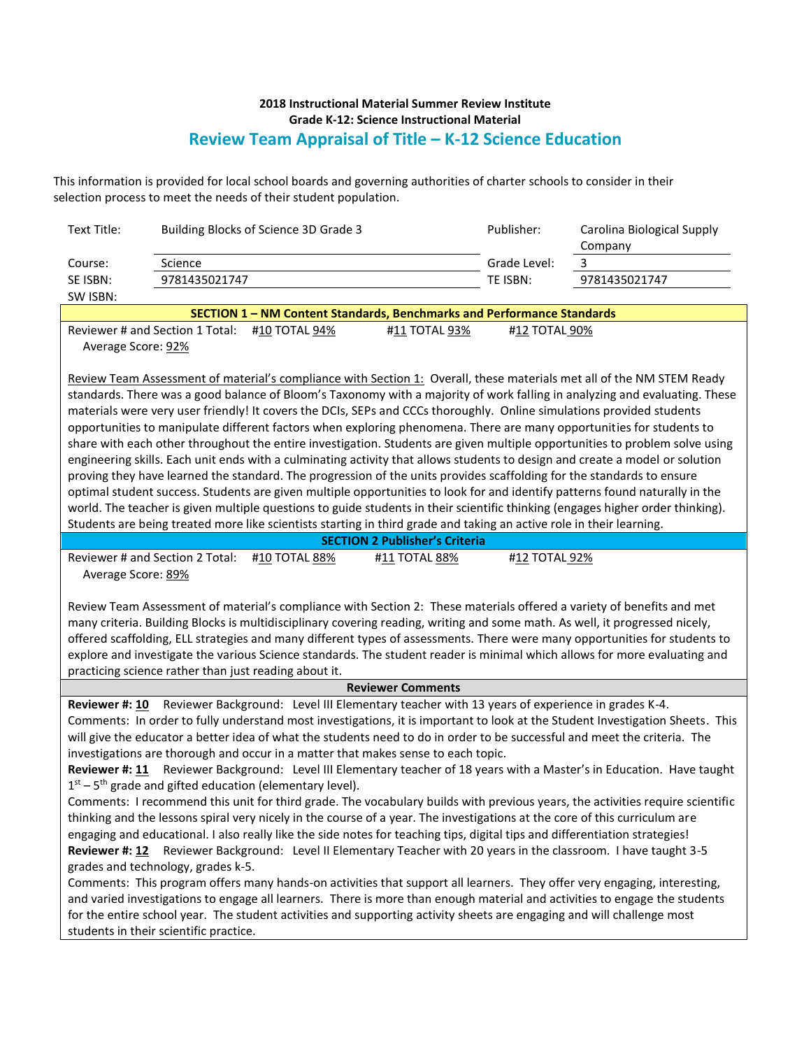| Text Title:                                                                                                                 | Building Blocks of Science 3D Grade 3                                                                                                                                                                                                                | Publisher:    | Carolina Biological Supply |
|-----------------------------------------------------------------------------------------------------------------------------|------------------------------------------------------------------------------------------------------------------------------------------------------------------------------------------------------------------------------------------------------|---------------|----------------------------|
| Course:                                                                                                                     | Science                                                                                                                                                                                                                                              | Grade Level:  | Company<br>3               |
| SE ISBN:                                                                                                                    | 9781435021747                                                                                                                                                                                                                                        | TE ISBN:      | 9781435021747              |
| SW ISBN:                                                                                                                    |                                                                                                                                                                                                                                                      |               |                            |
|                                                                                                                             | SECTION 1 - NM Content Standards, Benchmarks and Performance Standards                                                                                                                                                                               |               |                            |
|                                                                                                                             | Reviewer # and Section 1 Total:<br>#10 TOTAL 94%<br>#11 TOTAL 93%                                                                                                                                                                                    | #12 TOTAL 90% |                            |
| Average Score: 92%                                                                                                          |                                                                                                                                                                                                                                                      |               |                            |
|                                                                                                                             | Review Team Assessment of material's compliance with Section 1: Overall, these materials met all of the NM STEM Ready                                                                                                                                |               |                            |
|                                                                                                                             | standards. There was a good balance of Bloom's Taxonomy with a majority of work falling in analyzing and evaluating. These                                                                                                                           |               |                            |
|                                                                                                                             | materials were very user friendly! It covers the DCIs, SEPs and CCCs thoroughly. Online simulations provided students                                                                                                                                |               |                            |
|                                                                                                                             | opportunities to manipulate different factors when exploring phenomena. There are many opportunities for students to                                                                                                                                 |               |                            |
|                                                                                                                             | share with each other throughout the entire investigation. Students are given multiple opportunities to problem solve using                                                                                                                          |               |                            |
|                                                                                                                             | engineering skills. Each unit ends with a culminating activity that allows students to design and create a model or solution                                                                                                                         |               |                            |
|                                                                                                                             | proving they have learned the standard. The progression of the units provides scaffolding for the standards to ensure                                                                                                                                |               |                            |
|                                                                                                                             | optimal student success. Students are given multiple opportunities to look for and identify patterns found naturally in the                                                                                                                          |               |                            |
|                                                                                                                             | world. The teacher is given multiple questions to guide students in their scientific thinking (engages higher order thinking).                                                                                                                       |               |                            |
|                                                                                                                             | Students are being treated more like scientists starting in third grade and taking an active role in their learning.                                                                                                                                 |               |                            |
|                                                                                                                             | <b>SECTION 2 Publisher's Criteria</b>                                                                                                                                                                                                                |               |                            |
|                                                                                                                             | Reviewer # and Section 2 Total:<br>#10 TOTAL 88%<br>#11 TOTAL 88%                                                                                                                                                                                    | #12 TOTAL 92% |                            |
| Average Score: 89%                                                                                                          |                                                                                                                                                                                                                                                      |               |                            |
|                                                                                                                             |                                                                                                                                                                                                                                                      |               |                            |
|                                                                                                                             | Review Team Assessment of material's compliance with Section 2: These materials offered a variety of benefits and met<br>many criteria. Building Blocks is multidisciplinary covering reading, writing and some math. As well, it progressed nicely, |               |                            |
|                                                                                                                             | offered scaffolding, ELL strategies and many different types of assessments. There were many opportunities for students to                                                                                                                           |               |                            |
|                                                                                                                             | explore and investigate the various Science standards. The student reader is minimal which allows for more evaluating and                                                                                                                            |               |                            |
|                                                                                                                             | practicing science rather than just reading about it.                                                                                                                                                                                                |               |                            |
|                                                                                                                             | <b>Reviewer Comments</b>                                                                                                                                                                                                                             |               |                            |
|                                                                                                                             | Reviewer #: 10 Reviewer Background: Level III Elementary teacher with 13 years of experience in grades K-4.                                                                                                                                          |               |                            |
|                                                                                                                             | Comments: In order to fully understand most investigations, it is important to look at the Student Investigation Sheets. This                                                                                                                        |               |                            |
|                                                                                                                             | will give the educator a better idea of what the students need to do in order to be successful and meet the criteria. The                                                                                                                            |               |                            |
| investigations are thorough and occur in a matter that makes sense to each topic.                                           |                                                                                                                                                                                                                                                      |               |                            |
| Reviewer #: 11 Reviewer Background: Level III Elementary teacher of 18 years with a Master's in Education. Have taught      |                                                                                                                                                                                                                                                      |               |                            |
|                                                                                                                             | $1st - 5th$ grade and gifted education (elementary level).                                                                                                                                                                                           |               |                            |
|                                                                                                                             | Comments: I recommend this unit for third grade. The vocabulary builds with previous years, the activities require scientific                                                                                                                        |               |                            |
| thinking and the lessons spiral very nicely in the course of a year. The investigations at the core of this curriculum are  |                                                                                                                                                                                                                                                      |               |                            |
| engaging and educational. I also really like the side notes for teaching tips, digital tips and differentiation strategies! |                                                                                                                                                                                                                                                      |               |                            |
| Reviewer #: 12 Reviewer Background: Level II Elementary Teacher with 20 years in the classroom. I have taught 3-5           |                                                                                                                                                                                                                                                      |               |                            |
| grades and technology, grades k-5.                                                                                          |                                                                                                                                                                                                                                                      |               |                            |
|                                                                                                                             | Comments: This program offers many hands-on activities that support all learners. They offer very engaging, interesting,                                                                                                                             |               |                            |
| and varied investigations to engage all learners. There is more than enough material and activities to engage the students  |                                                                                                                                                                                                                                                      |               |                            |
|                                                                                                                             | for the entire school year. The student activities and supporting activity sheets are engaging and will challenge most                                                                                                                               |               |                            |
|                                                                                                                             | students in their scientific practice.                                                                                                                                                                                                               |               |                            |
|                                                                                                                             |                                                                                                                                                                                                                                                      |               |                            |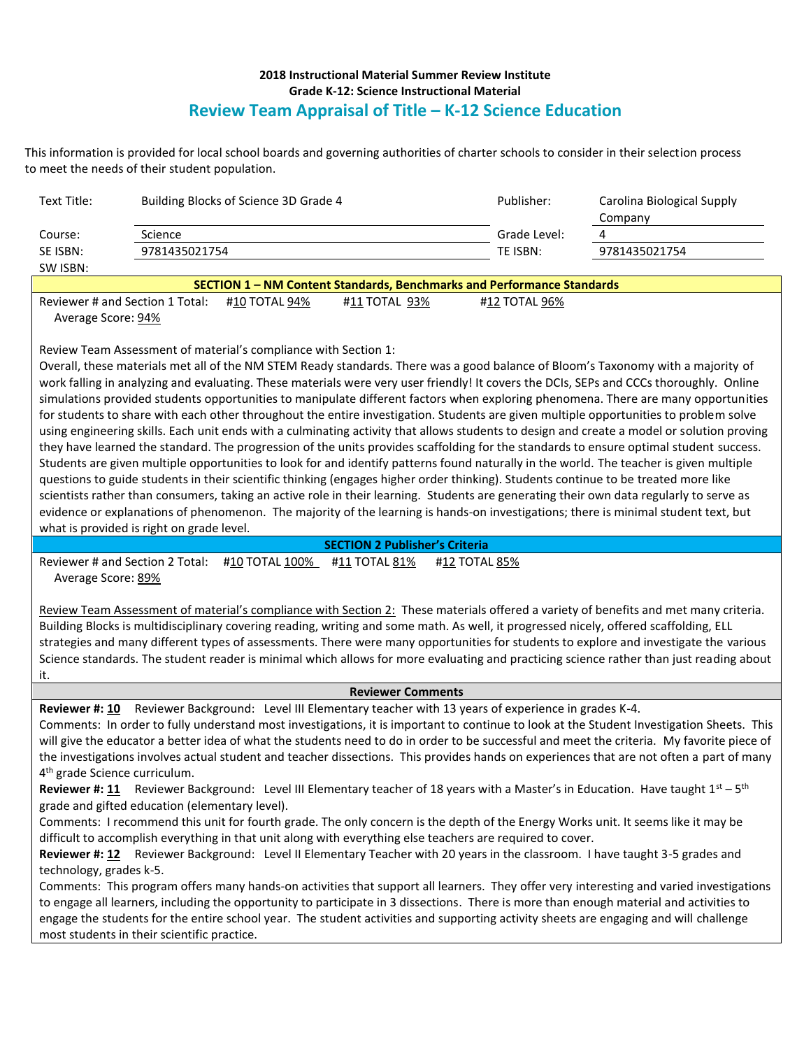This information is provided for local school boards and governing authorities of charter schools to consider in their selection process to meet the needs of their student population.

| Text Title: | Building Blocks of Science 3D Grade 4 | Publisher:   | Carolina Biological Supply |
|-------------|---------------------------------------|--------------|----------------------------|
|             |                                       |              | Company                    |
| Course:     | Science                               | Grade Level: |                            |
| SE ISBN:    | 9781435021754                         | TE ISBN:     | 9781435021754              |
| SW ISBN:    |                                       |              |                            |

**SECTION 1 – NM Content Standards, Benchmarks and Performance Standards**

Reviewer # and Section 1 Total: #10 TOTAL  $94\%$  #11 TOTAL  $93\%$  #12 TOTAL  $96\%$ Average Score: 94%

Review Team Assessment of material's compliance with Section 1:

Overall, these materials met all of the NM STEM Ready standards. There was a good balance of Bloom's Taxonomy with a majority of work falling in analyzing and evaluating. These materials were very user friendly! It covers the DCIs, SEPs and CCCs thoroughly. Online simulations provided students opportunities to manipulate different factors when exploring phenomena. There are many opportunities for students to share with each other throughout the entire investigation. Students are given multiple opportunities to problem solve using engineering skills. Each unit ends with a culminating activity that allows students to design and create a model or solution proving they have learned the standard. The progression of the units provides scaffolding for the standards to ensure optimal student success. Students are given multiple opportunities to look for and identify patterns found naturally in the world. The teacher is given multiple questions to guide students in their scientific thinking (engages higher order thinking). Students continue to be treated more like scientists rather than consumers, taking an active role in their learning. Students are generating their own data regularly to serve as evidence or explanations of phenomenon. The majority of the learning is hands-on investigations; there is minimal student text, but what is provided is right on grade level.

Reviewer # and Section 2 Total: #10 TOTAL 100% #11 TOTAL 81% #12 TOTAL 85% Average Score: 89%

Review Team Assessment of material's compliance with Section 2: These materials offered a variety of benefits and met many criteria. Building Blocks is multidisciplinary covering reading, writing and some math. As well, it progressed nicely, offered scaffolding, ELL strategies and many different types of assessments. There were many opportunities for students to explore and investigate the various Science standards. The student reader is minimal which allows for more evaluating and practicing science rather than just reading about it.

**SECTION 2 Publisher's Criteria**

#### **Reviewer Comments**

**Reviewer #: 10** Reviewer Background: Level III Elementary teacher with 13 years of experience in grades K-4.

Comments: In order to fully understand most investigations, it is important to continue to look at the Student Investigation Sheets. This will give the educator a better idea of what the students need to do in order to be successful and meet the criteria. My favorite piece of the investigations involves actual student and teacher dissections. This provides hands on experiences that are not often a part of many 4 th grade Science curriculum.

Reviewer #: 11 Reviewer Background: Level III Elementary teacher of 18 years with a Master's in Education. Have taught 1<sup>st</sup> – 5<sup>th</sup> grade and gifted education (elementary level).

Comments: I recommend this unit for fourth grade. The only concern is the depth of the Energy Works unit. It seems like it may be difficult to accomplish everything in that unit along with everything else teachers are required to cover.

**Reviewer #: 12** Reviewer Background: Level II Elementary Teacher with 20 years in the classroom. I have taught 3-5 grades and technology, grades k-5.

Comments: This program offers many hands-on activities that support all learners. They offer very interesting and varied investigations to engage all learners, including the opportunity to participate in 3 dissections. There is more than enough material and activities to engage the students for the entire school year. The student activities and supporting activity sheets are engaging and will challenge most students in their scientific practice.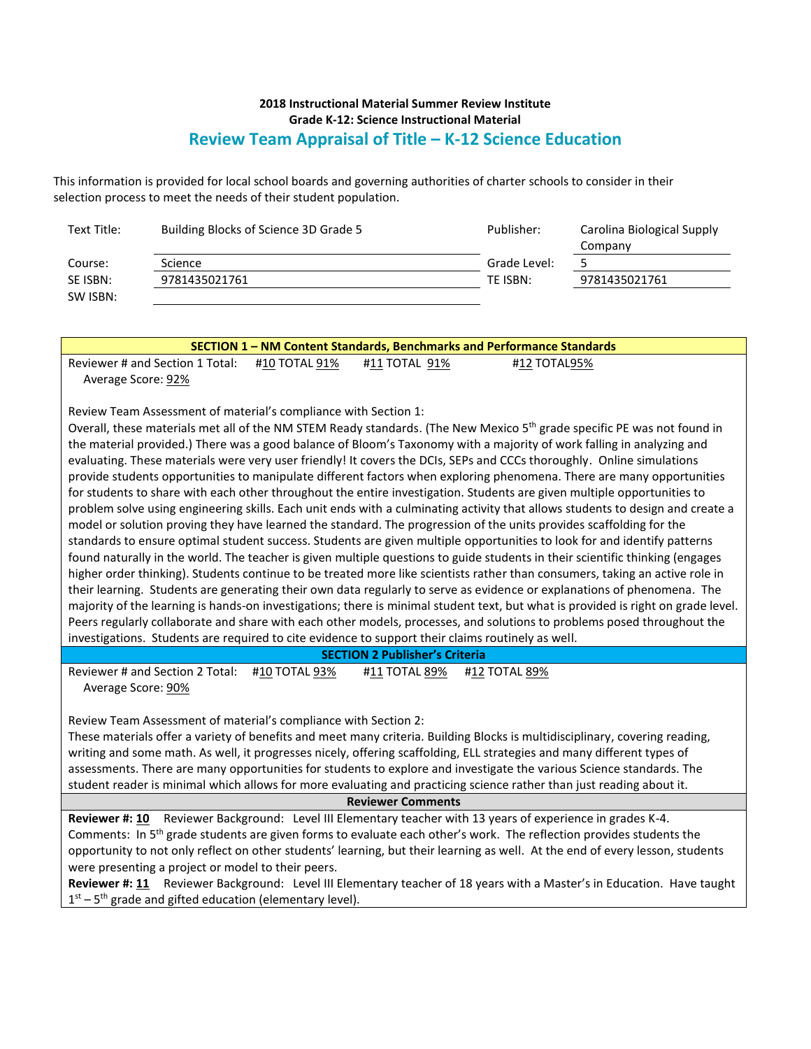| Text Title: | Building Blocks of Science 3D Grade 5 | Publisher:      | Carolina Biological Supply |
|-------------|---------------------------------------|-----------------|----------------------------|
|             |                                       |                 | Company                    |
| Course:     | Science                               | Grade Level:    |                            |
| SE ISBN:    | 9781435021761                         | <b>TF ISBN:</b> | 9781435021761              |
| SW ISBN:    |                                       |                 |                            |

| Reviewer # and Section 1 Total:<br>#10 TOTAL 91%<br>#11 TOTAL 91%<br>#12 TOTAL95%<br>Average Score: 92%                             |
|-------------------------------------------------------------------------------------------------------------------------------------|
|                                                                                                                                     |
|                                                                                                                                     |
|                                                                                                                                     |
| Review Team Assessment of material's compliance with Section 1:                                                                     |
| Overall, these materials met all of the NM STEM Ready standards. (The New Mexico 5 <sup>th</sup> grade specific PE was not found in |
| the material provided.) There was a good balance of Bloom's Taxonomy with a majority of work falling in analyzing and               |
| evaluating. These materials were very user friendly! It covers the DCIs, SEPs and CCCs thoroughly. Online simulations               |
| provide students opportunities to manipulate different factors when exploring phenomena. There are many opportunities               |
| for students to share with each other throughout the entire investigation. Students are given multiple opportunities to             |
| problem solve using engineering skills. Each unit ends with a culminating activity that allows students to design and create a      |
| model or solution proving they have learned the standard. The progression of the units provides scaffolding for the                 |
| standards to ensure optimal student success. Students are given multiple opportunities to look for and identify patterns            |
| found naturally in the world. The teacher is given multiple questions to guide students in their scientific thinking (engages       |
| higher order thinking). Students continue to be treated more like scientists rather than consumers, taking an active role in        |
| their learning. Students are generating their own data regularly to serve as evidence or explanations of phenomena. The             |
| majority of the learning is hands-on investigations; there is minimal student text, but what is provided is right on grade level.   |
| Peers regularly collaborate and share with each other models, processes, and solutions to problems posed throughout the             |
| investigations. Students are required to cite evidence to support their claims routinely as well.                                   |
| <b>SECTION 2 Publisher's Criteria</b>                                                                                               |
| Reviewer # and Section 2 Total:<br>#10 TOTAL 93%<br>#11 TOTAL 89%<br>#12 TOTAL 89%                                                  |
| Average Score: 90%                                                                                                                  |
| Review Team Assessment of material's compliance with Section 2:                                                                     |
| These materials offer a variety of benefits and meet many criteria. Building Blocks is multidisciplinary, covering reading,         |
| writing and some math. As well, it progresses nicely, offering scaffolding, ELL strategies and many different types of              |
| assessments. There are many opportunities for students to explore and investigate the various Science standards. The                |
| student reader is minimal which allows for more evaluating and practicing science rather than just reading about it.                |
| <b>Reviewer Comments</b>                                                                                                            |
| Reviewer #: 10 Reviewer Background: Level III Elementary teacher with 13 years of experience in grades K-4.                         |
| Comments: In 5 <sup>th</sup> grade students are given forms to evaluate each other's work. The reflection provides students the     |
| opportunity to not only reflect on other students' learning, but their learning as well. At the end of every lesson, students       |
| were presenting a project or model to their peers.                                                                                  |
| Reviewer #: 11 Reviewer Background: Level III Elementary teacher of 18 years with a Master's in Education. Have taught              |
| $1st - 5th$ grade and gifted education (elementary level).                                                                          |
|                                                                                                                                     |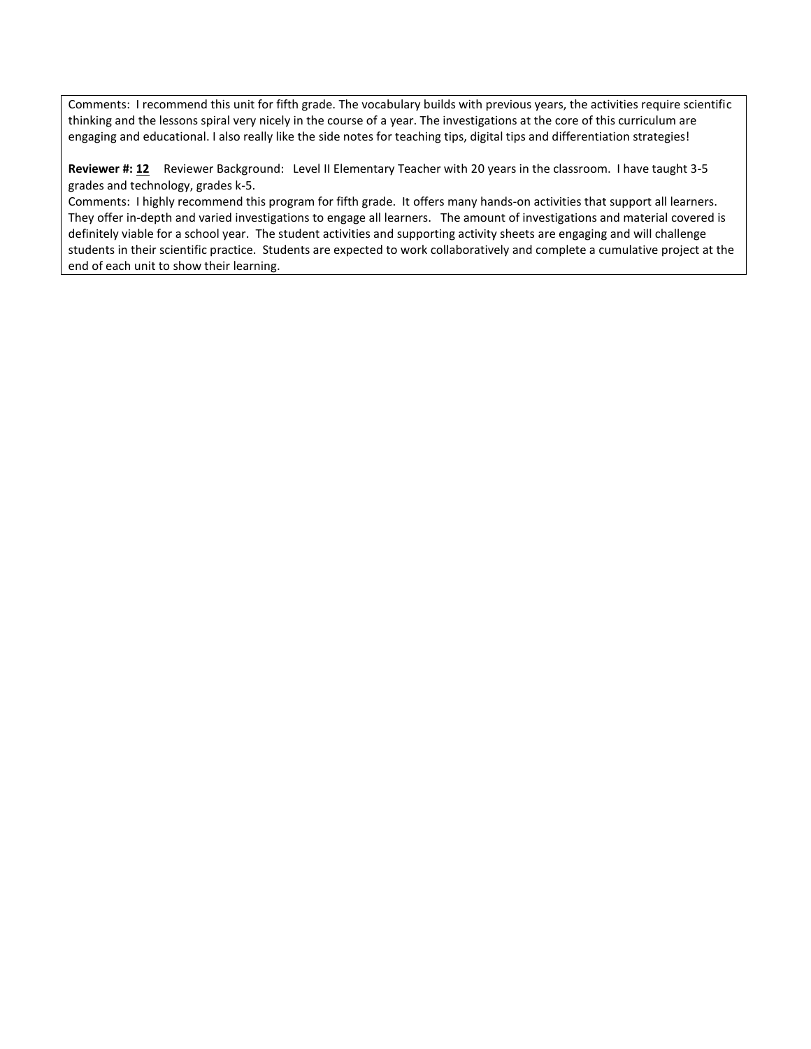Comments: I recommend this unit for fifth grade. The vocabulary builds with previous years, the activities require scientific thinking and the lessons spiral very nicely in the course of a year. The investigations at the core of this curriculum are engaging and educational. I also really like the side notes for teaching tips, digital tips and differentiation strategies!

**Reviewer #: 12** Reviewer Background: Level II Elementary Teacher with 20 years in the classroom. I have taught 3-5 grades and technology, grades k-5.

Comments: I highly recommend this program for fifth grade. It offers many hands-on activities that support all learners. They offer in-depth and varied investigations to engage all learners. The amount of investigations and material covered is definitely viable for a school year. The student activities and supporting activity sheets are engaging and will challenge students in their scientific practice. Students are expected to work collaboratively and complete a cumulative project at the end of each unit to show their learning.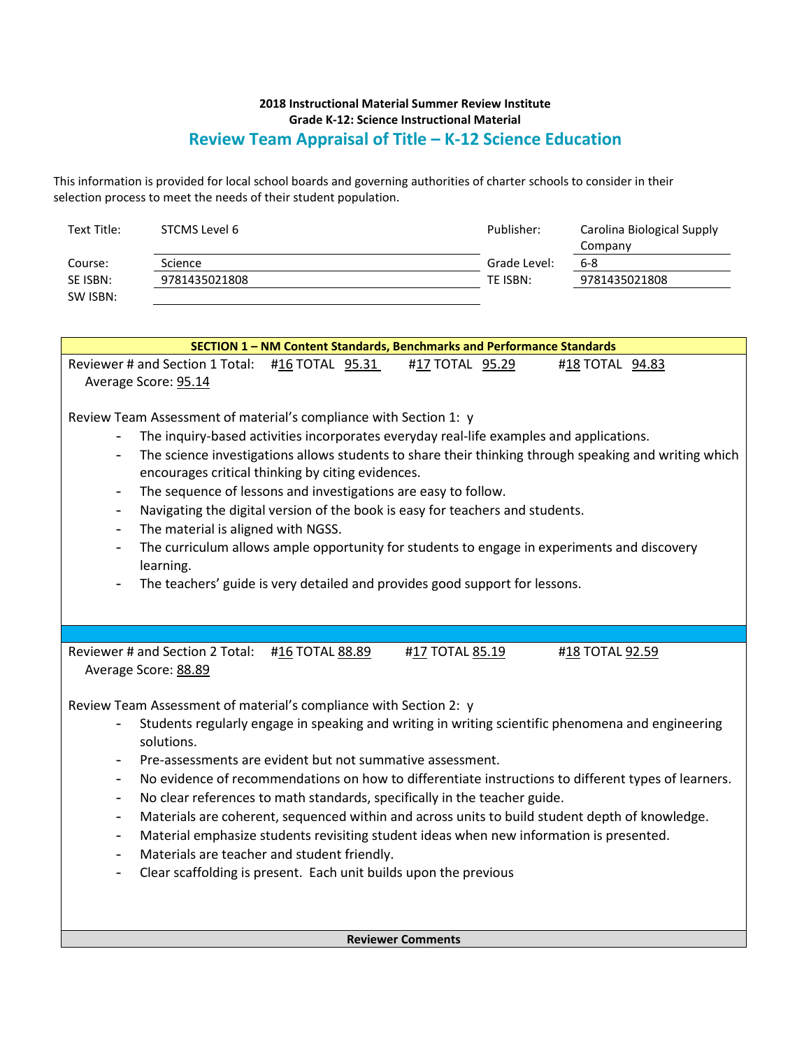| Text Title: | STCMS Level 6 | Publisher:   | Carolina Biological Supply |
|-------------|---------------|--------------|----------------------------|
|             |               |              | Company                    |
| Course:     | Science       | Grade Level: | $6 - 8$                    |
| SE ISBN:    | 9781435021808 | TE ISBN:     | 9781435021808              |
| SW ISBN:    |               |              |                            |

| SECTION 1 - NM Content Standards, Benchmarks and Performance Standards                                                                                                                                                                                                                                                                                                                                                                                                                                                                                                                                                                                                                                                                     |  |  |
|--------------------------------------------------------------------------------------------------------------------------------------------------------------------------------------------------------------------------------------------------------------------------------------------------------------------------------------------------------------------------------------------------------------------------------------------------------------------------------------------------------------------------------------------------------------------------------------------------------------------------------------------------------------------------------------------------------------------------------------------|--|--|
| Reviewer # and Section 1 Total: #16 TOTAL 95.31<br>#18 TOTAL 94.83<br>#17 TOTAL 95.29                                                                                                                                                                                                                                                                                                                                                                                                                                                                                                                                                                                                                                                      |  |  |
| Average Score: 95.14                                                                                                                                                                                                                                                                                                                                                                                                                                                                                                                                                                                                                                                                                                                       |  |  |
| Review Team Assessment of material's compliance with Section 1: y<br>The inquiry-based activities incorporates everyday real-life examples and applications.<br>The science investigations allows students to share their thinking through speaking and writing which<br>encourages critical thinking by citing evidences.<br>The sequence of lessons and investigations are easy to follow.<br>$\overline{\phantom{a}}$<br>Navigating the digital version of the book is easy for teachers and students.<br>The material is aligned with NGSS.<br>The curriculum allows ample opportunity for students to engage in experiments and discovery<br>learning.<br>The teachers' guide is very detailed and provides good support for lessons. |  |  |
|                                                                                                                                                                                                                                                                                                                                                                                                                                                                                                                                                                                                                                                                                                                                            |  |  |
|                                                                                                                                                                                                                                                                                                                                                                                                                                                                                                                                                                                                                                                                                                                                            |  |  |
| Reviewer # and Section 2 Total:<br>#16 TOTAL 88.89<br>#17 TOTAL 85.19<br>#18 TOTAL 92.59<br>Average Score: 88.89                                                                                                                                                                                                                                                                                                                                                                                                                                                                                                                                                                                                                           |  |  |
| Review Team Assessment of material's compliance with Section 2: y<br>Students regularly engage in speaking and writing in writing scientific phenomena and engineering<br>solutions.                                                                                                                                                                                                                                                                                                                                                                                                                                                                                                                                                       |  |  |
| Pre-assessments are evident but not summative assessment.                                                                                                                                                                                                                                                                                                                                                                                                                                                                                                                                                                                                                                                                                  |  |  |
| No evidence of recommendations on how to differentiate instructions to different types of learners.<br>$\overline{\phantom{a}}$                                                                                                                                                                                                                                                                                                                                                                                                                                                                                                                                                                                                            |  |  |
| No clear references to math standards, specifically in the teacher guide.<br>$\overline{\phantom{a}}$<br>Materials are coherent, sequenced within and across units to build student depth of knowledge.                                                                                                                                                                                                                                                                                                                                                                                                                                                                                                                                    |  |  |
| Material emphasize students revisiting student ideas when new information is presented.                                                                                                                                                                                                                                                                                                                                                                                                                                                                                                                                                                                                                                                    |  |  |
| Materials are teacher and student friendly.<br>$\overline{\phantom{a}}$                                                                                                                                                                                                                                                                                                                                                                                                                                                                                                                                                                                                                                                                    |  |  |
| Clear scaffolding is present. Each unit builds upon the previous<br>$\overline{\phantom{a}}$                                                                                                                                                                                                                                                                                                                                                                                                                                                                                                                                                                                                                                               |  |  |
|                                                                                                                                                                                                                                                                                                                                                                                                                                                                                                                                                                                                                                                                                                                                            |  |  |
| <b>Reviewer Comments</b>                                                                                                                                                                                                                                                                                                                                                                                                                                                                                                                                                                                                                                                                                                                   |  |  |